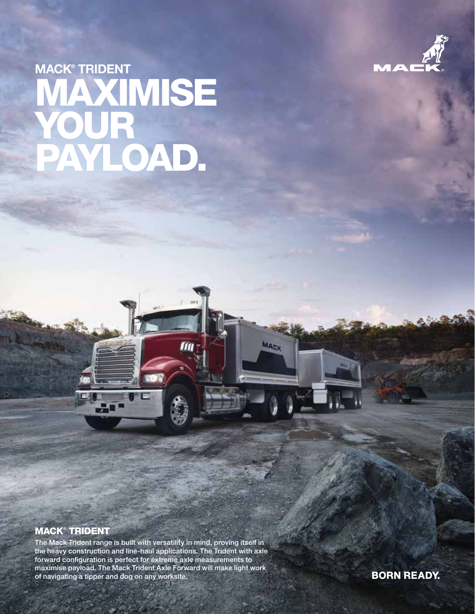

# MACK® TRIDENT **KIMISE** YOUR PAYLOAD.

## MACK® TRIDENT

The Mack Trident range is built with versatility in mind, proving itself in the heavy construction and line-haul applications. The Trident with axle forward configuration is perfect for extreme axle measurements to maximise payload. The Mack Trident Axle Forward will make light work of navigating a tipper and dog on any worksite.

60 FC

m

MACK

**BORN READY.**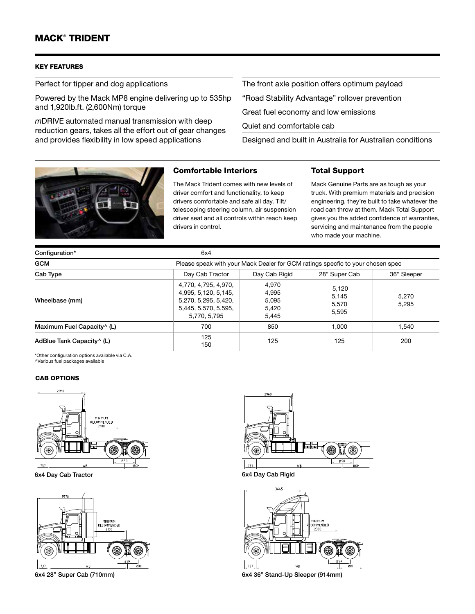# MACK® TRIDENT

#### KEY FEATURES

Perfect for tipper and dog applications

Powered by the Mack MP8 engine delivering up to 535hp and 1,920lb.ft. (2,600Nm) torque

*m*DRIVE automated manual transmission with deep reduction gears, takes all the effort out of gear changes and provides flexibility in low speed applications

The front axle position offers optimum payload

"Road Stability Advantage" rollover prevention

Great fuel economy and low emissions

Quiet and comfortable cab

Designed and built in Australia for Australian conditions

Total Support



#### Comfortable Interiors

The Mack Trident comes with new levels of driver comfort and functionality, to keep drivers comfortable and safe all day. Tilt/ telescoping steering column, air suspension driver seat and all controls within reach keep drivers in control.

Mack Genuine Parts are as tough as your truck. With premium materials and precision engineering, they're built to take whatever the road can throw at them. Mack Total Support gives you the added confidence of warranties, servicing and maintenance from the people who made your machine.

| Configuration*                         | 6x4                                                                                                          |                                                                                |                                  |                |
|----------------------------------------|--------------------------------------------------------------------------------------------------------------|--------------------------------------------------------------------------------|----------------------------------|----------------|
| <b>GCM</b>                             |                                                                                                              | Please speak with your Mack Dealer for GCM ratings specfic to your chosen spec |                                  |                |
| Cab Type                               | Day Cab Tractor                                                                                              | Day Cab Rigid                                                                  | 28" Super Cab                    | 36" Sleeper    |
| Wheelbase (mm)                         | 4,770, 4,795, 4,970,<br>4,995, 5,120, 5,145,<br>5,270, 5,295, 5,420,<br>5,445, 5,570, 5,595,<br>5,770, 5,795 | 4,970<br>4,995<br>5,095<br>5.420<br>5,445                                      | 5,120<br>5,145<br>5.570<br>5,595 | 5.270<br>5.295 |
| Maximum Fuel Capacity <sup>^</sup> (L) | 700                                                                                                          | 850                                                                            | 1.000                            | 1.540          |
| AdBlue Tank Capacity <sup>^</sup> (L)  | 125<br>150                                                                                                   | 125                                                                            | 125                              | 200            |

\*Other configuration options available via C.A. ^Various fuel packages available

#### CAB OPTIONS







6x4 Day Cab Tractor 6x4 Day Cab Rigid



6x4 28" Super Cab (710mm) 6x4 36" Stand-Up Sleeper (914mm)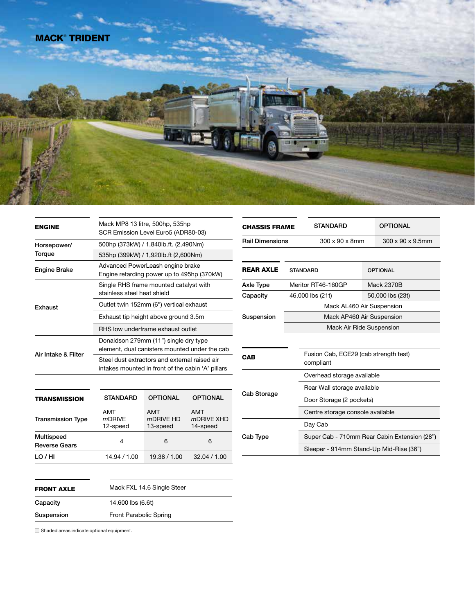

| <b>ENGINE</b>         | Mack MP8 13 litre, 500hp, 535hp<br>SCR Emission Level Euro5 (ADR80-03)                             |
|-----------------------|----------------------------------------------------------------------------------------------------|
| Horsepower/<br>Torque | 500hp (373kW) / 1,840lb.ft. (2,490Nm)                                                              |
|                       | 535hp (399kW) / 1,920lb.ft (2,600Nm)                                                               |
| <b>Engine Brake</b>   | Advanced PowerLeash engine brake<br>Engine retarding power up to 495hp (370kW)                     |
| Exhaust               | Single RHS frame mounted catalyst with<br>stainless steel heat shield                              |
|                       | Outlet twin 152mm (6") vertical exhaust                                                            |
|                       | Exhaust tip height above ground 3.5m                                                               |
|                       | RHS low underframe exhaust outlet                                                                  |
|                       | Donaldson 279mm (11") single dry type<br>element, dual canisters mounted under the cab             |
| Air Intake & Filter   | Steel dust extractors and external raised air<br>intakes mounted in front of the cabin 'A' pillars |
|                       |                                                                                                    |

| <b>TRANSMISSION</b>                | <b>STANDARD</b>              | <b>OPTIONAL</b>              | <b>OPTIONAL</b>               |
|------------------------------------|------------------------------|------------------------------|-------------------------------|
| <b>Transmission Type</b>           | AMT<br>$m$ DRIVE<br>12-speed | AMT<br>mDRIVE HD<br>13-speed | AMT<br>mDRIVE XHD<br>14-speed |
| Multispeed<br><b>Reverse Gears</b> | 4                            | 6                            | 6                             |
| LO / HI                            | 14.94 / 1.00                 | 19.38 / 1.00                 | 32.04 / 1.00                  |

| <b>FRONT AXLE</b> | Mack FXL 14.6 Single Steer |
|-------------------|----------------------------|
| Capacity          | 14,600 lbs (6.6t)          |
| Suspension        | Front Parabolic Spring     |

STANDARD OPTIONAL Axle Type Meritor RT46-160GP Mack 2370B Capacity 46,000 lbs (21t) 50,000 lbs (23t) Suspension Mack AL460 Air Suspension Mack AP460 Air Suspension Mack Air Ride Suspension REAR AXLE STANDARD OPTIONAL Rail Dimensions 300 x 90 x 8mm 300 x 90 x 9.5mm CHASSIS FRAME Fusion Cab, ECE29 (cab strength test) compliant Cab Storage Overhead storage available Rear Wall storage available Door Storage (2 pockets) Centre storage console available Cab Type Day Cab Super Cab - 710mm Rear Cabin Extension (28") Sleeper - 914mm Stand-Up Mid-Rise (36") CAB

 $\Box$  Shaded areas indicate optional equipment.